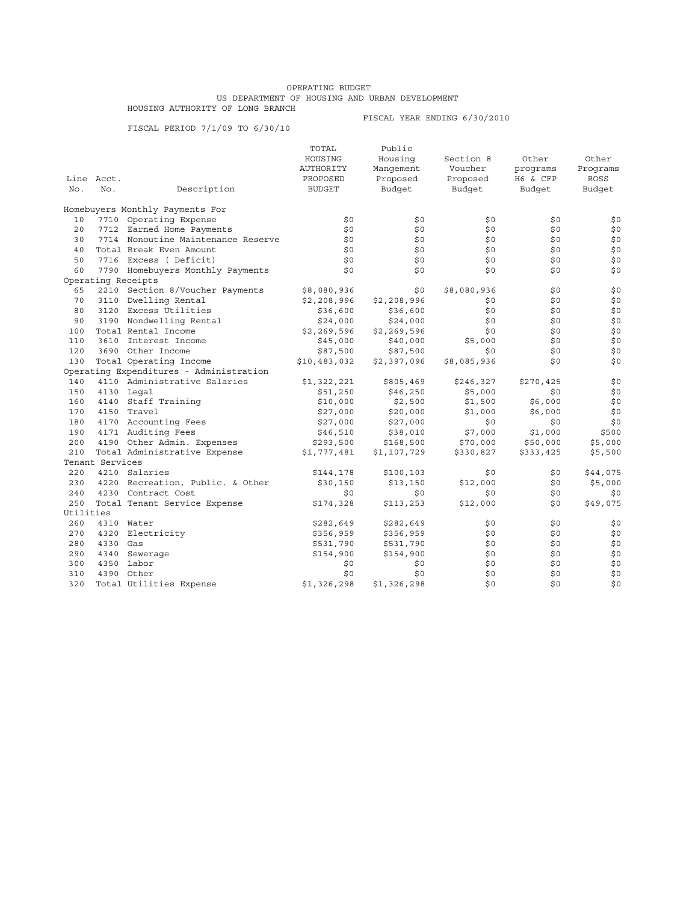## OPERATING BUDGET US DEPARTMENT OF HOUSING AND URBAN DEVELOPMENT HOUSING AUTHORITY OF LONG BRANCH

FISCAL PERIOD 7/1/09 TO 6/30/10

FISCAL YEAR ENDING 6/30/2010

|           |                 |                                         | TOTAL         | Public      |             |           |          |
|-----------|-----------------|-----------------------------------------|---------------|-------------|-------------|-----------|----------|
|           |                 |                                         | HOUSING       | Housing     | Section 8   | Other     | Other    |
|           |                 |                                         | AUTHORITY     | Manqement   | Voucher     | programs  | Programs |
|           | Line Acct.      |                                         | PROPOSED      | Proposed    | Proposed    | H6 & CFP  | ROSS     |
| No.       | No.             | Description                             | <b>BUDGET</b> | Budget      | Budget      | Budget    | Budget   |
|           |                 | Homebuyers Monthly Payments For         |               |             |             |           |          |
| 10        |                 | 7710 Operating Expense                  | \$0           | \$0         | \$0         | \$0       | \$0      |
| 20        |                 | 7712 Earned Home Payments               | \$0           | \$0         | \$0         | \$0       | \$0      |
| 30        |                 | 7714 Nonoutine Maintenance Reserve      | \$0           | \$0         | \$0         | \$0       | \$0      |
| 40        |                 | Total Break Even Amount                 | \$0           | \$0         | \$0         | \$0       | \$0      |
| 50        |                 | 7716 Excess (Deficit)                   | \$0           | \$0         | \$0         | \$0       | \$0      |
| 60        |                 | 7790 Homebuyers Monthly Payments        | \$0           | \$0         | \$0         | \$0       | \$0      |
|           |                 | Operating Receipts                      |               |             |             |           |          |
| 65        |                 | 2210 Section 8/Voucher Payments         | \$8,080,936   | \$0         | \$8,080,936 | \$0       | \$0      |
| 70        |                 | 3110 Dwelling Rental                    | \$2,208,996   | \$2,208,996 | \$0         | \$0       | \$0      |
| 80        |                 | 3120 Excess Utilities                   | \$36,600      | \$36,600    | \$0         | \$0       | \$0      |
| 90        |                 | 3190 Nondwelling Rental                 | \$24,000      | \$24,000    | \$0         | \$0       | \$0      |
| 100       |                 | Total Rental Income                     | \$2,269,596   | \$2,269,596 | \$0         | \$0       | \$0      |
| 110       |                 | 3610 Interest Income                    | \$45,000      | \$40,000    | \$5,000     | \$0       | \$0      |
| 120       |                 | 3690 Other Income                       | \$87,500      | \$87,500    | \$0         | \$0       | \$0      |
| 130       |                 | Total Operating Income                  | \$10,483,032  | \$2,397,096 | \$8,085,936 | \$0       | \$0      |
|           |                 | Operating Expenditures - Administration |               |             |             |           |          |
| 140       |                 | 4110 Administrative Salaries            | \$1,322,221   | \$805,469   | \$246,327   | \$270,425 | \$0      |
| 150       |                 | 4130 Legal                              | \$51,250      | \$46,250    | \$5,000     | \$0       | \$0      |
| 160       |                 | 4140 Staff Training                     | \$10,000      | \$2,500     | \$1,500     | \$6,000   | \$0      |
| 170       |                 | 4150 Travel                             | \$27,000      | \$20,000    | \$1,000     | \$6,000   | \$0      |
| 180       |                 | 4170 Accounting Fees                    | \$27,000      | \$27,000    | \$0         | \$0       | \$0      |
| 190       |                 | 4171 Auditing Fees                      | \$46,510      | \$38,010    | \$7,000     | \$1,000   | \$500    |
| 200       |                 | 4190 Other Admin. Expenses              | \$293,500     | \$168,500   | \$70,000    | \$50,000  | \$5,000  |
| 210       |                 | Total Administrative Expense            | \$1,777,481   | \$1,107,729 | \$330,827   | \$333,425 | \$5,500  |
|           | Tenant Services |                                         |               |             |             |           |          |
| 220       |                 | 4210 Salaries                           | \$144,178     | \$100, 103  | \$0         | \$0       | \$44,075 |
| 230       |                 | 4220 Recreation, Public. & Other        | \$30,150      | \$13,150    | \$12,000    | \$0       | \$5,000  |
| 240       |                 | 4230 Contract Cost                      | \$0           | \$0         | \$0         | \$0       | \$0      |
| 250       |                 | Total Tenant Service Expense            | \$174,328     | \$113,253   | \$12,000    | \$0       | \$49,075 |
| Utilities |                 |                                         |               |             |             |           |          |
| 260       |                 | 4310 Water                              | \$282,649     | \$282,649   | \$0         | \$0       | \$0      |
| 270       |                 | 4320 Electricity                        | \$356,959     | \$356,959   | \$0         | \$0       | \$0      |
| 280       | 4330 Gas        |                                         | \$531,790     | \$531,790   | \$0         | \$0       | \$0      |
| 290       |                 | 4340 Sewerage                           | \$154,900     | \$154,900   | \$0         | \$0       | \$0      |
| 300       |                 | 4350 Labor                              | \$0           | \$0         | \$0         | \$0       | \$0      |
| 310       |                 | 4390 Other                              | \$0           | \$0         | \$0         | \$0       | \$0      |
| 320       |                 | Total Utilities Expense                 | \$1,326,298   | \$1,326,298 | \$0         | \$0       | \$0      |
|           |                 |                                         |               |             |             |           |          |